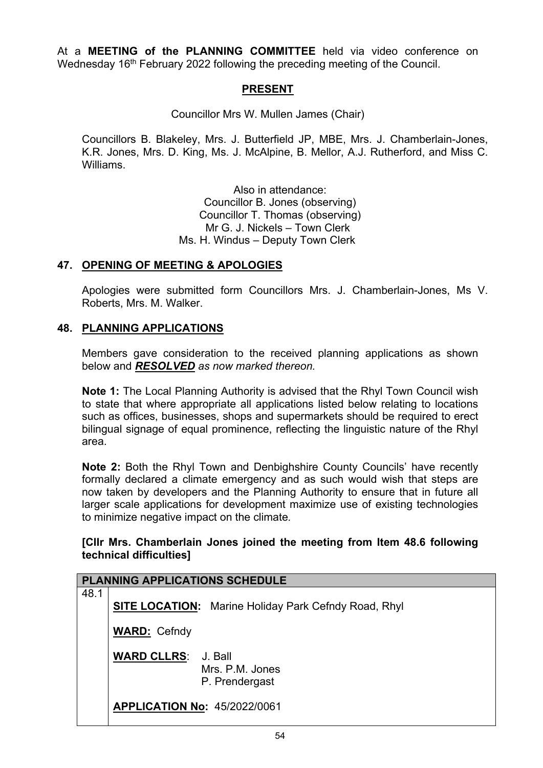At a **MEETING of the PLANNING COMMITTEE** held via video conference on Wednesday 16<sup>th</sup> February 2022 following the preceding meeting of the Council.

## **PRESENT**

Councillor Mrs W. Mullen James (Chair)

Councillors B. Blakeley, Mrs. J. Butterfield JP, MBE, Mrs. J. Chamberlain-Jones, K.R. Jones, Mrs. D. King, Ms. J. McAlpine, B. Mellor, A.J. Rutherford, and Miss C. Williams.

> Also in attendance: Councillor B. Jones (observing) Councillor T. Thomas (observing) Mr G. J. Nickels – Town Clerk Ms. H. Windus – Deputy Town Clerk

### **47. OPENING OF MEETING & APOLOGIES**

Apologies were submitted form Councillors Mrs. J. Chamberlain-Jones, Ms V. Roberts, Mrs. M. Walker.

## **48. PLANNING APPLICATIONS**

Members gave consideration to the received planning applications as shown below and *RESOLVED as now marked thereon.*

**Note 1:** The Local Planning Authority is advised that the Rhyl Town Council wish to state that where appropriate all applications listed below relating to locations such as offices, businesses, shops and supermarkets should be required to erect bilingual signage of equal prominence, reflecting the linguistic nature of the Rhyl area.

**Note 2:** Both the Rhyl Town and Denbighshire County Councils' have recently formally declared a climate emergency and as such would wish that steps are now taken by developers and the Planning Authority to ensure that in future all larger scale applications for development maximize use of existing technologies to minimize negative impact on the climate*.*

### **[Cllr Mrs. Chamberlain Jones joined the meeting from Item 48.6 following technical difficulties]**

|      | <b>PLANNING APPLICATIONS SCHEDULE</b> |                                                             |  |  |
|------|---------------------------------------|-------------------------------------------------------------|--|--|
| 48.1 |                                       | <b>SITE LOCATION:</b> Marine Holiday Park Cefndy Road, Rhyl |  |  |
|      | <b>WARD: Cefndy</b>                   |                                                             |  |  |
|      | <b>WARD CLLRS: J. Ball</b>            | Mrs. P.M. Jones<br>P. Prendergast                           |  |  |
|      | <b>APPLICATION No: 45/2022/0061</b>   |                                                             |  |  |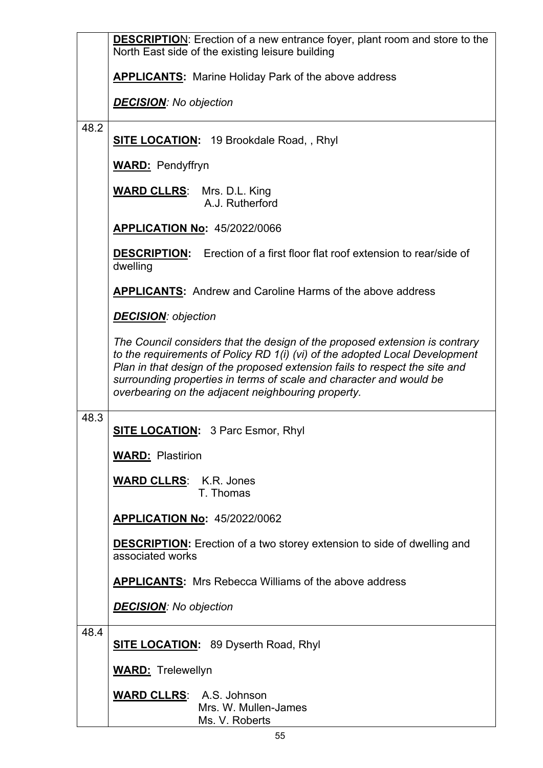|      | <b>DESCRIPTION:</b> Erection of a new entrance foyer, plant room and store to the<br>North East side of the existing leisure building                                                                                                                                                                                                                                  |  |  |
|------|------------------------------------------------------------------------------------------------------------------------------------------------------------------------------------------------------------------------------------------------------------------------------------------------------------------------------------------------------------------------|--|--|
|      | <b>APPLICANTS:</b> Marine Holiday Park of the above address                                                                                                                                                                                                                                                                                                            |  |  |
|      | <b>DECISION:</b> No objection                                                                                                                                                                                                                                                                                                                                          |  |  |
| 48.2 | <b>SITE LOCATION:</b> 19 Brookdale Road,, Rhyl                                                                                                                                                                                                                                                                                                                         |  |  |
|      | <b>WARD: Pendyffryn</b>                                                                                                                                                                                                                                                                                                                                                |  |  |
|      | <b>WARD CLLRS:</b> Mrs. D.L. King<br>A.J. Rutherford                                                                                                                                                                                                                                                                                                                   |  |  |
|      | <b>APPLICATION No: 45/2022/0066</b>                                                                                                                                                                                                                                                                                                                                    |  |  |
|      | <b>DESCRIPTION:</b> Erection of a first floor flat roof extension to rear/side of<br>dwelling                                                                                                                                                                                                                                                                          |  |  |
|      | <b>APPLICANTS:</b> Andrew and Caroline Harms of the above address                                                                                                                                                                                                                                                                                                      |  |  |
|      | <b>DECISION</b> : objection                                                                                                                                                                                                                                                                                                                                            |  |  |
|      | The Council considers that the design of the proposed extension is contrary<br>to the requirements of Policy RD 1(i) (vi) of the adopted Local Development<br>Plan in that design of the proposed extension fails to respect the site and<br>surrounding properties in terms of scale and character and would be<br>overbearing on the adjacent neighbouring property. |  |  |
| 48.3 | <b>SITE LOCATION:</b> 3 Parc Esmor, Rhyl                                                                                                                                                                                                                                                                                                                               |  |  |
|      | <b>WARD: Plastirion</b>                                                                                                                                                                                                                                                                                                                                                |  |  |
|      | <b>WARD CLLRS: K.R. Jones</b><br>T. Thomas                                                                                                                                                                                                                                                                                                                             |  |  |
|      | <b>APPLICATION No: 45/2022/0062</b>                                                                                                                                                                                                                                                                                                                                    |  |  |
|      | <b>DESCRIPTION:</b> Erection of a two storey extension to side of dwelling and<br>associated works                                                                                                                                                                                                                                                                     |  |  |
|      | <b>APPLICANTS:</b> Mrs Rebecca Williams of the above address                                                                                                                                                                                                                                                                                                           |  |  |
|      | <b>DECISION:</b> No objection                                                                                                                                                                                                                                                                                                                                          |  |  |
| 48.4 | <b>SITE LOCATION:</b> 89 Dyserth Road, Rhyl                                                                                                                                                                                                                                                                                                                            |  |  |
|      | <b>WARD:</b> Trelewellyn                                                                                                                                                                                                                                                                                                                                               |  |  |
|      | <b>WARD CLLRS: A.S. Johnson</b><br>Mrs. W. Mullen-James<br>Ms. V. Roberts                                                                                                                                                                                                                                                                                              |  |  |